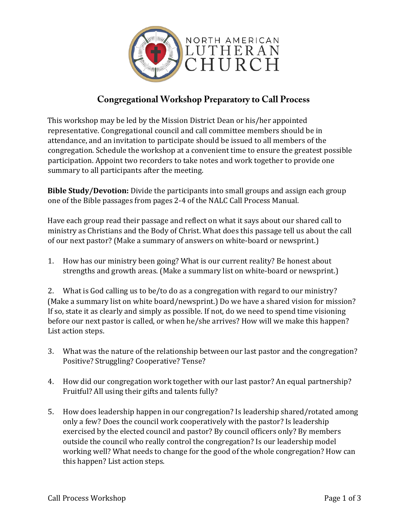

## **Congregational Workshop Preparatory to Call Process**

This workshop may be led by the Mission District Dean or his/her appointed representative. Congregational council and call committee members should be in attendance, and an invitation to participate should be issued to all members of the congregation. Schedule the workshop at a convenient time to ensure the greatest possible participation. Appoint two recorders to take notes and work together to provide one summary to all participants after the meeting.

**Bible Study/Devotion:** Divide the participants into small groups and assign each group one of the Bible passages from pages 2-4 of the NALC Call Process Manual.

Have each group read their passage and reflect on what it says about our shared call to ministry as Christians and the Body of Christ. What does this passage tell us about the call of our next pastor? (Make a summary of answers on white-board or newsprint.)

1. How has our ministry been going? What is our current reality? Be honest about strengths and growth areas. (Make a summary list on white-board or newsprint.)

2. What is God calling us to be/to do as a congregation with regard to our ministry? (Make a summary list on white board/newsprint.) Do we have a shared vision for mission? If so, state it as clearly and simply as possible. If not, do we need to spend time visioning before our next pastor is called, or when he/she arrives? How will we make this happen? List action steps.

- 3. What was the nature of the relationship between our last pastor and the congregation? Positive? Struggling? Cooperative? Tense?
- 4. How did our congregation work together with our last pastor? An equal partnership? Fruitful? All using their gifts and talents fully?
- 5. How does leadership happen in our congregation? Is leadership shared/rotated among only a few? Does the council work cooperatively with the pastor? Is leadership exercised by the elected council and pastor? By council officers only? By members outside the council who really control the congregation? Is our leadership model working well? What needs to change for the good of the whole congregation? How can this happen? List action steps.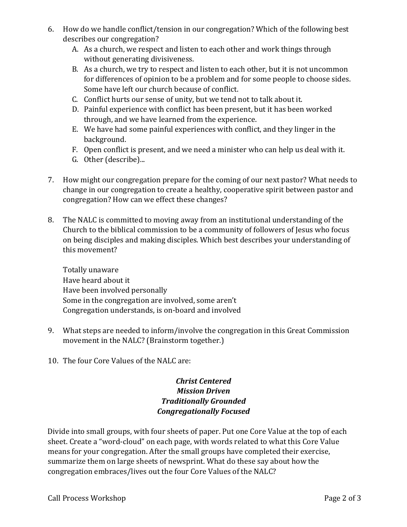- 6. How do we handle conflict/tension in our congregation? Which of the following best describes our congregation?
	- A. As a church, we respect and listen to each other and work things through without generating divisiveness.
	- B. As a church, we try to respect and listen to each other, but it is not uncommon for differences of opinion to be a problem and for some people to choose sides. Some have left our church because of conflict.
	- C. Conflict hurts our sense of unity, but we tend not to talk about it.
	- D. Painful experience with conflict has been present, but it has been worked through, and we have learned from the experience.
	- E. We have had some painful experiences with conflict, and they linger in the background.
	- F. Open conflict is present, and we need a minister who can help us deal with it.
	- G. Other (describe)...
- 7. How might our congregation prepare for the coming of our next pastor? What needs to change in our congregation to create a healthy, cooperative spirit between pastor and congregation? How can we effect these changes?
- 8. The NALC is committed to moving away from an institutional understanding of the Church to the biblical commission to be a community of followers of Jesus who focus on being disciples and making disciples. Which best describes your understanding of this movement?

Totally unaware Have heard about it Have been involved personally Some in the congregation are involved, some aren't Congregation understands, is on-board and involved

- 9. What steps are needed to inform/involve the congregation in this Great Commission movement in the NALC? (Brainstorm together.)
- 10. The four Core Values of the NALC are:

## *Christ Centered Mission Driven Traditionally Grounded Congregationally Focused*

Divide into small groups, with four sheets of paper. Put one Core Value at the top of each sheet. Create a "word-cloud" on each page, with words related to what this Core Value means for your congregation. After the small groups have completed their exercise, summarize them on large sheets of newsprint. What do these say about how the congregation embraces/lives out the four Core Values of the NALC?